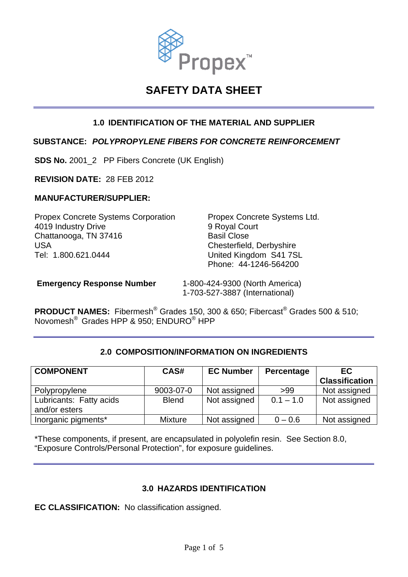

# **SAFETY DATA SHEET**

# **1.0 IDENTIFICATION OF THE MATERIAL AND SUPPLIER**

### **SUBSTANCE:** *POLYPROPYLENE FIBERS FOR CONCRETE REINFORCEMENT*

**SDS No.** 2001\_2 PP Fibers Concrete (UK English)

**REVISION DATE:** 28 FEB 2012

#### **MANUFACTURER/SUPPLIER:**

Propex Concrete Systems Corporation Propex Concrete Systems Ltd. 4019 Industry Drive 9 Royal Court Chattanooga, TN 37416 Basil Close USA Chesterfield, Derbyshire Tel: 1.800.621.0444 United Kingdom S41 7SL

Phone: 44-1246-564200

 **Emergency Response Number** 1-800-424-9300 (North America) 1-703-527-3887 (International)

**PRODUCT NAMES:** Fibermesh® Grades 150, 300 & 650; Fibercast® Grades 500 & 510; Novomesh® Grades HPP & 950; ENDURO® HPP

#### **2.0 COMPOSITION/INFORMATION ON INGREDIENTS**

| <b>COMPONENT</b>                         | CAS#           | <b>EC Number</b> | Percentage  | <b>EC</b><br><b>Classification</b> |
|------------------------------------------|----------------|------------------|-------------|------------------------------------|
| Polypropylene                            | 9003-07-0      | Not assigned     | >99         | Not assigned                       |
| Lubricants: Fatty acids<br>and/or esters | <b>Blend</b>   | Not assigned     | $0.1 - 1.0$ | Not assigned                       |
| Inorganic pigments*                      | <b>Mixture</b> | Not assigned     | $0 - 0.6$   | Not assigned                       |

\*These components, if present, are encapsulated in polyolefin resin. See Section 8.0, "Exposure Controls/Personal Protection", for exposure guidelines.

#### **3.0 HAZARDS IDENTIFICATION**

**EC CLASSIFICATION:** No classification assigned.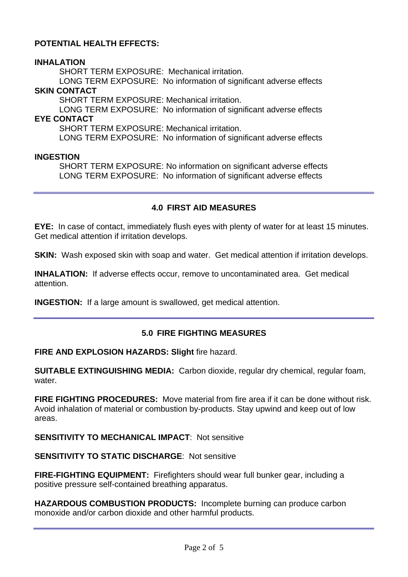# **POTENTIAL HEALTH EFFECTS:**

### **INHALATION**

SHORT TERM EXPOSURE: Mechanical irritation.

 LONG TERM EXPOSURE: No information of significant adverse effects **SKIN CONTACT** 

SHORT TERM EXPOSURE: Mechanical irritation.

 LONG TERM EXPOSURE: No information of significant adverse effects **EYE CONTACT** 

SHORT TERM EXPOSURE: Mechanical irritation.

LONG TERM EXPOSURE: No information of significant adverse effects

#### **INGESTION**

SHORT TERM EXPOSURE: No information on significant adverse effects LONG TERM EXPOSURE: No information of significant adverse effects

## **4.0 FIRST AID MEASURES**

**EYE:** In case of contact, immediately flush eyes with plenty of water for at least 15 minutes. Get medical attention if irritation develops.

**SKIN:** Wash exposed skin with soap and water. Get medical attention if irritation develops.

**INHALATION:** If adverse effects occur, remove to uncontaminated area. Get medical attention.

**INGESTION:** If a large amount is swallowed, get medical attention.

# **5.0 FIRE FIGHTING MEASURES**

#### **FIRE AND EXPLOSION HAZARDS: Slight** fire hazard.

**SUITABLE EXTINGUISHING MEDIA:** Carbon dioxide, regular dry chemical, regular foam, water.

**FIRE FIGHTING PROCEDURES:** Move material from fire area if it can be done without risk. Avoid inhalation of material or combustion by-products. Stay upwind and keep out of low areas.

**SENSITIVITY TO MECHANICAL IMPACT: Not sensitive** 

**SENSITIVITY TO STATIC DISCHARGE**: Not sensitive

**FIRE-FIGHTING EQUIPMENT:** Firefighters should wear full bunker gear, including a positive pressure self-contained breathing apparatus.

**HAZARDOUS COMBUSTION PRODUCTS:** Incomplete burning can produce carbon monoxide and/or carbon dioxide and other harmful products.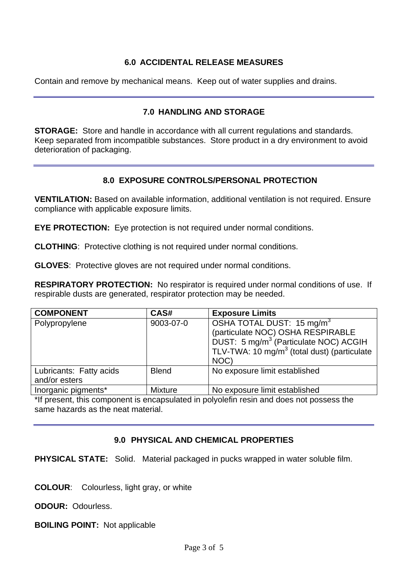## **6.0 ACCIDENTAL RELEASE MEASURES**

Contain and remove by mechanical means. Keep out of water supplies and drains.

## **7.0 HANDLING AND STORAGE**

**STORAGE:** Store and handle in accordance with all current regulations and standards. Keep separated from incompatible substances. Store product in a dry environment to avoid deterioration of packaging.

#### **8.0 EXPOSURE CONTROLS/PERSONAL PROTECTION**

**VENTILATION:** Based on available information, additional ventilation is not required. Ensure compliance with applicable exposure limits.

**EYE PROTECTION:** Eye protection is not required under normal conditions.

**CLOTHING**: Protective clothing is not required under normal conditions.

**GLOVES**: Protective gloves are not required under normal conditions.

**RESPIRATORY PROTECTION:** No respirator is required under normal conditions of use. If respirable dusts are generated, respirator protection may be needed.

| <b>COMPONENT</b>                         | CAS#           | <b>Exposure Limits</b>                                                                                                                                                                             |
|------------------------------------------|----------------|----------------------------------------------------------------------------------------------------------------------------------------------------------------------------------------------------|
| Polypropylene                            | 9003-07-0      | OSHA TOTAL DUST: 15 mg/m <sup>3</sup><br>(particulate NOC) OSHA RESPIRABLE<br>DUST: 5 mg/m <sup>3</sup> (Particulate NOC) ACGIH<br>TLV-TWA: 10 mg/m <sup>3</sup> (total dust) (particulate<br>NOC) |
| Lubricants: Fatty acids<br>and/or esters | <b>Blend</b>   | No exposure limit established                                                                                                                                                                      |
| Inorganic pigments*                      | <b>Mixture</b> | No exposure limit established                                                                                                                                                                      |

\*If present, this component is encapsulated in polyolefin resin and does not possess the same hazards as the neat material.

# **9.0 PHYSICAL AND CHEMICAL PROPERTIES**

**PHYSICAL STATE:** Solid. Material packaged in pucks wrapped in water soluble film.

**COLOUR**: Colourless, light gray, or white

**ODOUR:** Odourless.

**BOILING POINT:** Not applicable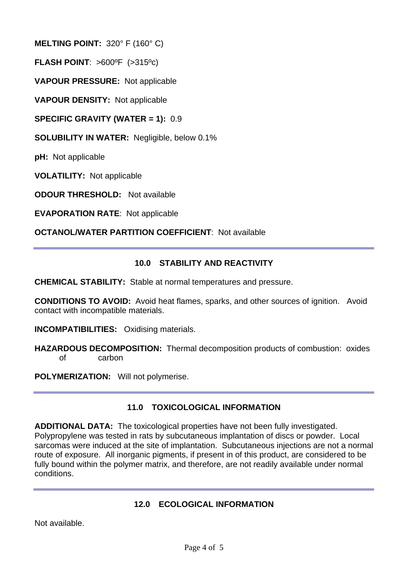**MELTING POINT:** 320° F (160° C)

**FLASH POINT**: >600ºF (>315ºc)

**VAPOUR PRESSURE:** Not applicable

**VAPOUR DENSITY:** Not applicable

**SPECIFIC GRAVITY (WATER = 1):** 0.9

**SOLUBILITY IN WATER:** Negligible, below 0.1%

**pH:** Not applicable

**VOLATILITY:** Not applicable

**ODOUR THRESHOLD:** Not available

**EVAPORATION RATE**: Not applicable

**OCTANOL/WATER PARTITION COEFFICIENT**: Not available

## **10.0 STABILITY AND REACTIVITY**

**CHEMICAL STABILITY:** Stable at normal temperatures and pressure.

**CONDITIONS TO AVOID:** Avoid heat flames, sparks, and other sources of ignition. Avoid contact with incompatible materials.

**INCOMPATIBILITIES:** Oxidising materials.

**HAZARDOUS DECOMPOSITION:** Thermal decomposition products of combustion: oxides of carbon

**POLYMERIZATION:** Will not polymerise.

# **11.0 TOXICOLOGICAL INFORMATION**

**ADDITIONAL DATA:** The toxicological properties have not been fully investigated. Polypropylene was tested in rats by subcutaneous implantation of discs or powder. Local sarcomas were induced at the site of implantation. Subcutaneous injections are not a normal route of exposure. All inorganic pigments, if present in of this product, are considered to be fully bound within the polymer matrix, and therefore, are not readily available under normal conditions.

#### **12.0 ECOLOGICAL INFORMATION**

Not available.